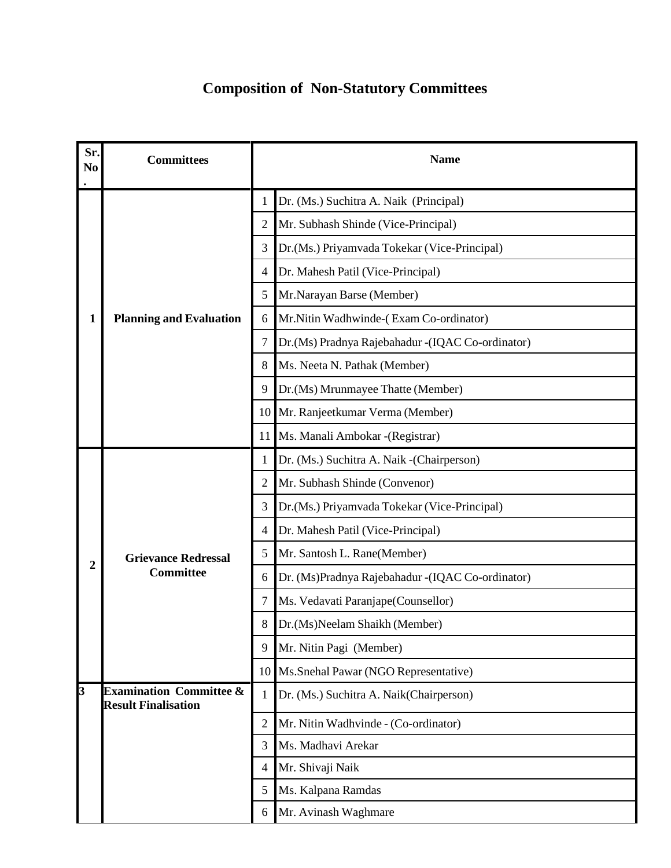## **Composition of Non-Statutory Committees**

| Sr.<br>N <sub>0</sub> | <b>Committees</b>                                                | <b>Name</b>                                            |  |
|-----------------------|------------------------------------------------------------------|--------------------------------------------------------|--|
|                       | <b>Planning and Evaluation</b>                                   | Dr. (Ms.) Suchitra A. Naik (Principal)<br>1            |  |
|                       |                                                                  | Mr. Subhash Shinde (Vice-Principal)<br>2               |  |
|                       |                                                                  | Dr.(Ms.) Priyamvada Tokekar (Vice-Principal)<br>3      |  |
|                       |                                                                  | Dr. Mahesh Patil (Vice-Principal)<br>4                 |  |
|                       |                                                                  | Mr.Narayan Barse (Member)<br>5                         |  |
| 1                     |                                                                  | Mr.Nitin Wadhwinde-(Exam Co-ordinator)<br>6            |  |
|                       |                                                                  | 7<br>Dr.(Ms) Pradnya Rajebahadur -(IQAC Co-ordinator)  |  |
|                       |                                                                  | Ms. Neeta N. Pathak (Member)<br>8                      |  |
|                       |                                                                  | Dr.(Ms) Mrunmayee Thatte (Member)<br>9                 |  |
|                       |                                                                  | Mr. Ranjeetkumar Verma (Member)<br>10                  |  |
|                       |                                                                  | Ms. Manali Ambokar - (Registrar)<br>11                 |  |
|                       | <b>Grievance Redressal</b><br><b>Committee</b>                   | Dr. (Ms.) Suchitra A. Naik - (Chairperson)<br>1        |  |
|                       |                                                                  | $\overline{2}$<br>Mr. Subhash Shinde (Convenor)        |  |
|                       |                                                                  | 3<br>Dr.(Ms.) Priyamvada Tokekar (Vice-Principal)      |  |
|                       |                                                                  | Dr. Mahesh Patil (Vice-Principal)<br>4                 |  |
| $\mathbf{2}$          |                                                                  | Mr. Santosh L. Rane(Member)<br>5                       |  |
|                       |                                                                  | Dr. (Ms)Pradnya Rajebahadur - (IQAC Co-ordinator)<br>6 |  |
|                       |                                                                  | Ms. Vedavati Paranjape (Counsellor)<br>7               |  |
|                       |                                                                  | 8<br>Dr.(Ms)Neelam Shaikh (Member)                     |  |
|                       |                                                                  | Mr. Nitin Pagi (Member)<br>9                           |  |
|                       |                                                                  | Ms.Snehal Pawar (NGO Representative)<br>10             |  |
| 3                     | <b>Examination Committee &amp;</b><br><b>Result Finalisation</b> | Dr. (Ms.) Suchitra A. Naik(Chairperson)<br>1           |  |
|                       |                                                                  | $\mathfrak{2}$<br>Mr. Nitin Wadhvinde - (Co-ordinator) |  |
|                       |                                                                  | Ms. Madhavi Arekar<br>3                                |  |
|                       |                                                                  | Mr. Shivaji Naik<br>4                                  |  |
|                       |                                                                  | Ms. Kalpana Ramdas<br>5                                |  |
|                       |                                                                  | Mr. Avinash Waghmare<br>6                              |  |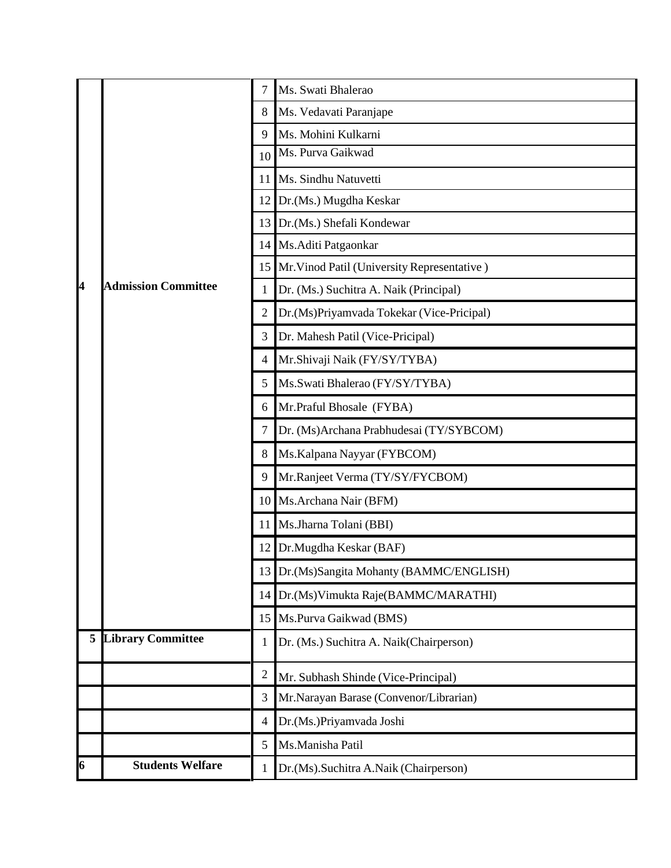|   |                            | 7              | Ms. Swati Bhalerao                          |
|---|----------------------------|----------------|---------------------------------------------|
|   | <b>Admission Committee</b> | 8              | Ms. Vedavati Paranjape                      |
|   |                            | 9              | Ms. Mohini Kulkarni                         |
|   |                            | 10             | Ms. Purva Gaikwad                           |
|   |                            | 11             | Ms. Sindhu Natuvetti                        |
| 4 |                            | 12             | Dr.(Ms.) Mugdha Keskar                      |
|   |                            | 13             | Dr.(Ms.) Shefali Kondewar                   |
|   |                            | 14             | Ms.Aditi Patgaonkar                         |
|   |                            | 15             | Mr. Vinod Patil (University Representative) |
|   |                            | 1              | Dr. (Ms.) Suchitra A. Naik (Principal)      |
|   |                            | 2              | Dr.(Ms)Priyamvada Tokekar (Vice-Pricipal)   |
|   |                            | 3              | Dr. Mahesh Patil (Vice-Pricipal)            |
|   |                            | 4              | Mr.Shivaji Naik (FY/SY/TYBA)                |
|   |                            | 5              | Ms.Swati Bhalerao (FY/SY/TYBA)              |
|   |                            | 6              | Mr.Praful Bhosale (FYBA)                    |
|   |                            | 7              | Dr. (Ms)Archana Prabhudesai (TY/SYBCOM)     |
|   |                            | 8              | Ms. Kalpana Nayyar (FYBCOM)                 |
|   |                            | 9              | Mr.Ranjeet Verma (TY/SY/FYCBOM)             |
|   |                            | 10             | Ms.Archana Nair (BFM)                       |
|   |                            | 11             | Ms.Jharna Tolani (BBI)                      |
|   |                            | 12             | Dr.Mugdha Keskar (BAF)                      |
|   |                            | 13             | Dr.(Ms)Sangita Mohanty (BAMMC/ENGLISH)      |
|   |                            | 14             | Dr.(Ms) Vimukta Raje(BAMMC/MARATHI)         |
|   |                            | 15             | Ms.Purva Gaikwad (BMS)                      |
|   | <b>5 Library Committee</b> | 1              | Dr. (Ms.) Suchitra A. Naik(Chairperson)     |
|   |                            | $\overline{c}$ | Mr. Subhash Shinde (Vice-Principal)         |
|   |                            | 3              | Mr.Narayan Barase (Convenor/Librarian)      |
|   |                            | 4              | Dr.(Ms.)Priyamvada Joshi                    |
|   |                            | 5              | Ms.Manisha Patil                            |
| 6 | <b>Students Welfare</b>    | 1              | Dr.(Ms).Suchitra A.Naik (Chairperson)       |